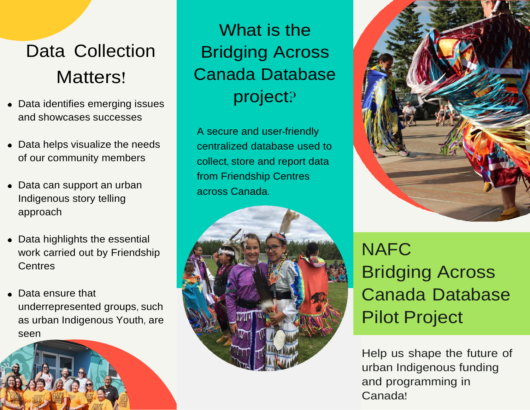## Data Collection Matters!

- Data identifies emerging issues and showcases successes
- Data helps visualize the needs of our community members
- Data can support an urban Indigenous story telling approach
- Data highlights the essential work carried out by Friendship **Centres**
- Data ensure that underrepresented groups, such as urban Indigenous Youth, are seen



What is the Bridging Across Canada Database project?

A secure and user-friendly centralized database used to collect, store and report data from Friendship Centres across Canada.





NAFC Bridging Across Canada Database Pilot Project

Help us shape the future of urban Indigenous funding and programming in Canada!